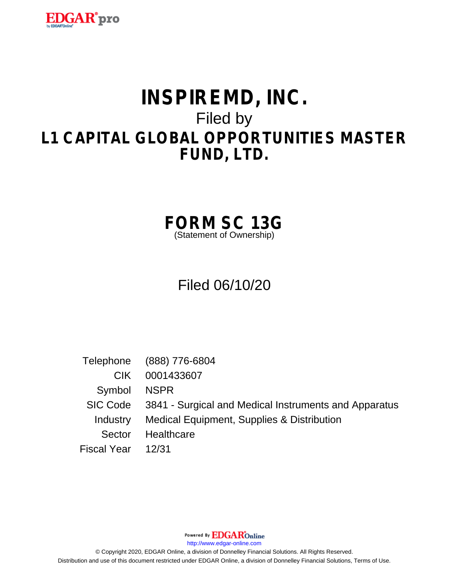

# **INSPIREMD, INC.** Filed by **L1 CAPITAL GLOBAL OPPORTUNITIES MASTER FUND, LTD.**

**FORM SC 13G**

(Statement of Ownership)

## Filed 06/10/20

Telephone (888) 776-6804 CIK 0001433607 Symbol NSPR SIC Code 3841 - Surgical and Medical Instruments and Apparatus Industry Medical Equipment, Supplies & Distribution Sector Healthcare Fiscal Year 12/31

Powered By **EDGAR**Online

http://www.edgar-online.com

© Copyright 2020, EDGAR Online, a division of Donnelley Financial Solutions. All Rights Reserved. Distribution and use of this document restricted under EDGAR Online, a division of Donnelley Financial Solutions, Terms of Use.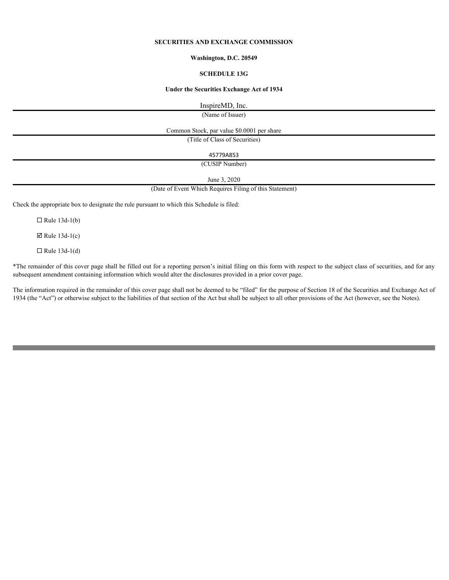## **SECURITIES AND EXCHANGE COMMISSION**

#### **Washington, D.C. 20549**

#### **SCHEDULE 13G**

#### **Under the Securities Exchange Act of 1934**

InspireMD, Inc.

(Name of Issuer)

Common Stock, par value \$0.0001 per share

(Title of Class of Securities)

45779A853

(CUSIP Number)

June 3, 2020

(Date of Event Which Requires Filing of this Statement)

Check the appropriate box to designate the rule pursuant to which this Schedule is filed:

 $\Box$  Rule 13d-1(b)

 $\boxtimes$  Rule 13d-1(c)

 $\Box$  Rule 13d-1(d)

\*The remainder of this cover page shall be filled out for a reporting person's initial filing on this form with respect to the subject class of securities, and for any subsequent amendment containing information which would alter the disclosures provided in a prior cover page.

The information required in the remainder of this cover page shall not be deemed to be "filed" for the purpose of Section 18 of the Securities and Exchange Act of 1934 (the "Act") or otherwise subject to the liabilities of that section of the Act but shall be subject to all other provisions of the Act (however, see the Notes).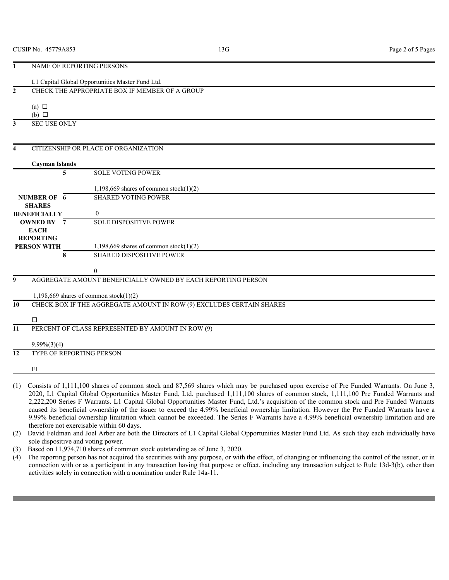|    | NAME OF REPORTING PERSONS          |                                                                                                                                                                                                                                                                                       |  |
|----|------------------------------------|---------------------------------------------------------------------------------------------------------------------------------------------------------------------------------------------------------------------------------------------------------------------------------------|--|
|    |                                    | L1 Capital Global Opportunities Master Fund Ltd.                                                                                                                                                                                                                                      |  |
|    |                                    | CHECK THE APPROPRIATE BOX IF MEMBER OF A GROUP                                                                                                                                                                                                                                        |  |
|    |                                    |                                                                                                                                                                                                                                                                                       |  |
|    | (a) $\Box$                         |                                                                                                                                                                                                                                                                                       |  |
|    | $(b)$ $\square$                    |                                                                                                                                                                                                                                                                                       |  |
| 3  | <b>SEC USE ONLY</b>                |                                                                                                                                                                                                                                                                                       |  |
|    |                                    |                                                                                                                                                                                                                                                                                       |  |
|    |                                    | CITIZENSHIP OR PLACE OF ORGANIZATION                                                                                                                                                                                                                                                  |  |
|    |                                    |                                                                                                                                                                                                                                                                                       |  |
|    | <b>Cayman Islands</b>              |                                                                                                                                                                                                                                                                                       |  |
|    | 5                                  | <b>SOLE VOTING POWER</b>                                                                                                                                                                                                                                                              |  |
|    |                                    | 1,198,669 shares of common stock $(1)(2)$                                                                                                                                                                                                                                             |  |
|    | NUMBER OF 6                        | <b>SHARED VOTING POWER</b>                                                                                                                                                                                                                                                            |  |
|    | <b>SHARES</b>                      |                                                                                                                                                                                                                                                                                       |  |
|    | <b>BENEFICIALLY</b>                | <b>SOLE DISPOSITIVE POWER</b>                                                                                                                                                                                                                                                         |  |
|    | <b>OWNED BY 7</b><br><b>EACH</b>   |                                                                                                                                                                                                                                                                                       |  |
|    | <b>REPORTING</b>                   |                                                                                                                                                                                                                                                                                       |  |
|    | <b>PERSON WITH</b>                 | 1,198,669 shares of common stock $(1)(2)$                                                                                                                                                                                                                                             |  |
|    | 8                                  | <b>SHARED DISPOSITIVE POWER</b>                                                                                                                                                                                                                                                       |  |
|    |                                    | $\theta$                                                                                                                                                                                                                                                                              |  |
| 9  |                                    | AGGREGATE AMOUNT BENEFICIALLY OWNED BY EACH REPORTING PERSON                                                                                                                                                                                                                          |  |
|    |                                    |                                                                                                                                                                                                                                                                                       |  |
|    |                                    | 1,198,669 shares of common stock $(1)(2)$                                                                                                                                                                                                                                             |  |
| 10 |                                    | CHECK BOX IF THE AGGREGATE AMOUNT IN ROW (9) EXCLUDES CERTAIN SHARES                                                                                                                                                                                                                  |  |
|    | $\Box$                             |                                                                                                                                                                                                                                                                                       |  |
| 11 |                                    | PERCENT OF CLASS REPRESENTED BY AMOUNT IN ROW (9)                                                                                                                                                                                                                                     |  |
|    |                                    |                                                                                                                                                                                                                                                                                       |  |
|    | $9.99\%(3)(4)$                     |                                                                                                                                                                                                                                                                                       |  |
| 12 | TYPE OF REPORTING PERSON           |                                                                                                                                                                                                                                                                                       |  |
|    | FI                                 |                                                                                                                                                                                                                                                                                       |  |
|    |                                    |                                                                                                                                                                                                                                                                                       |  |
|    |                                    | (1) Consists of 1,111,100 shares of common stock and 87,569 shares which may be purchased upon exercise of Pre Funded Warrants. On June 3,                                                                                                                                            |  |
|    |                                    | 2020, L1 Capital Global Opportunities Master Fund, Ltd. purchased 1,111,100 shares of common stock, 1,111,100 Pre Funded Warrants and                                                                                                                                                 |  |
|    |                                    | 2,222,200 Series F Warrants. L1 Capital Global Opportunities Master Fund, Ltd.'s acquisition of the common stock and Pre Funded Warrants<br>caused its beneficial ownership of the issuer to exceed the 4.99% beneficial ownership limitation. However the Pre Funded Warrants have a |  |
|    |                                    | 9.99% beneficial ownership limitation which cannot be exceeded. The Series F Warrants have a 4.99% beneficial ownership limitation and are                                                                                                                                            |  |
|    |                                    | therefore not exercisable within 60 days.                                                                                                                                                                                                                                             |  |
|    |                                    | (2) David Feldman and Joel Arber are both the Directors of L1 Capital Global Opportunities Master Fund Ltd. As such they each individually have                                                                                                                                       |  |
|    | sole dispositive and voting power. |                                                                                                                                                                                                                                                                                       |  |
|    |                                    | (3) Based on 11,974,710 shares of common stock outstanding as of June 3, 2020.<br>(4) The reporting person has not acquired the securities with any purpose, or with the effect, of changing or influencing the control of the issuer, or in                                          |  |
|    |                                    | connection with or as a participant in any transaction having that purpose or effect, including any transaction subject to Rule 13d-3(b), other than                                                                                                                                  |  |
|    |                                    | activities solely in connection with a nomination under Rule 14a-11.                                                                                                                                                                                                                  |  |

(4) The reporting person has not acquired the securities with any purpose, or with the effect, of changing or influencing the control of the issuer, or in connection with or as a participant in any transaction having that purpose or effect, including any transaction subject to Rule 13d-3(b), other than activities solely in connection with a nomination under Rule 14a-11.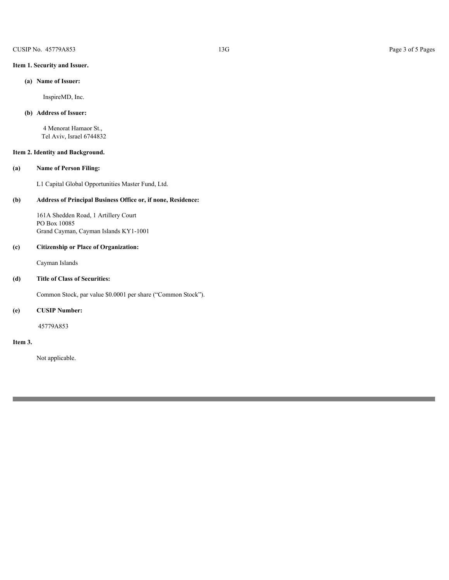## **Item 1. Security and Issuer.**

## **(a) Name of Issuer:**

InspireMD, Inc.

## **(b) Address of Issuer:**

 4 Menorat Hamaor St., Tel Aviv, Israel 6744832

## **Item 2. Identity and Background.**

## **(a) Name of Person Filing:**

L1 Capital Global Opportunities Master Fund, Ltd.

## **(b) Address of Principal Business Office or, if none, Residence:**

161A Shedden Road, 1 Artillery Court PO Box 10085 Grand Cayman, Cayman Islands KY1-1001

#### **(c) Citizenship or Place of Organization:**

Cayman Islands

## **(d) Title of Class of Securities:**

Common Stock, par value \$0.0001 per share ("Common Stock").

## **(e) CUSIP Number:**

45779A853

#### **Item 3.**

Not applicable.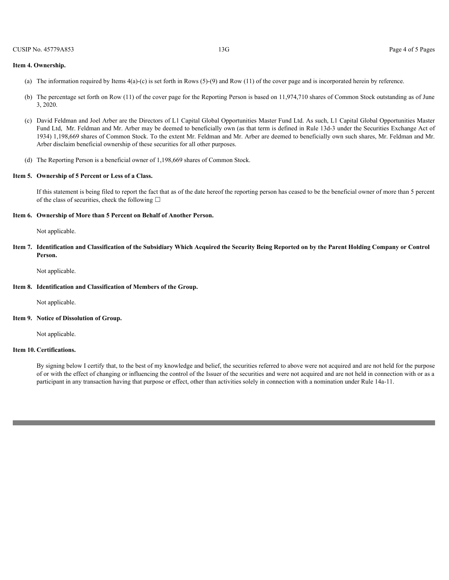#### **Item 4. Ownership.**

- (a) The information required by Items 4(a)-(c) is set forth in Rows (5)-(9) and Row (11) of the cover page and is incorporated herein by reference.
- (b) The percentage set forth on Row (11) of the cover page for the Reporting Person is based on 11,974,710 shares of Common Stock outstanding as of June 3, 2020.
- (c) David Feldman and Joel Arber are the Directors of L1 Capital Global Opportunities Master Fund Ltd. As such, L1 Capital Global Opportunities Master Fund Ltd, Mr. Feldman and Mr. Arber may be deemed to beneficially own (as that term is defined in Rule 13d-3 under the Securities Exchange Act of 1934) 1,198,669 shares of Common Stock. To the extent Mr. Feldman and Mr. Arber are deemed to beneficially own such shares, Mr. Feldman and Mr. Arber disclaim beneficial ownership of these securities for all other purposes.
- (d) The Reporting Person is a beneficial owner of 1,198,669 shares of Common Stock.

#### **Item 5. Ownership of 5 Percent or Less of a Class.**

If this statement is being filed to report the fact that as of the date hereof the reporting person has ceased to be the beneficial owner of more than 5 percent of the class of securities, check the following  $\Box$ 

#### **Item 6. Ownership of More than 5 Percent on Behalf of Another Person.**

Not applicable.

**Item 7. Identification and Classification of the Subsidiary Which Acquired the Security Being Reported on by the Parent Holding Company or Control Person.**

Not applicable.

#### **Item 8. Identification and Classification of Members of the Group.**

Not applicable.

#### **Item 9. Notice of Dissolution of Group.**

Not applicable.

#### **Item 10. Certifications.**

By signing below I certify that, to the best of my knowledge and belief, the securities referred to above were not acquired and are not held for the purpose of or with the effect of changing or influencing the control of the Issuer of the securities and were not acquired and are not held in connection with or as a participant in any transaction having that purpose or effect, other than activities solely in connection with a nomination under Rule 14a-11.